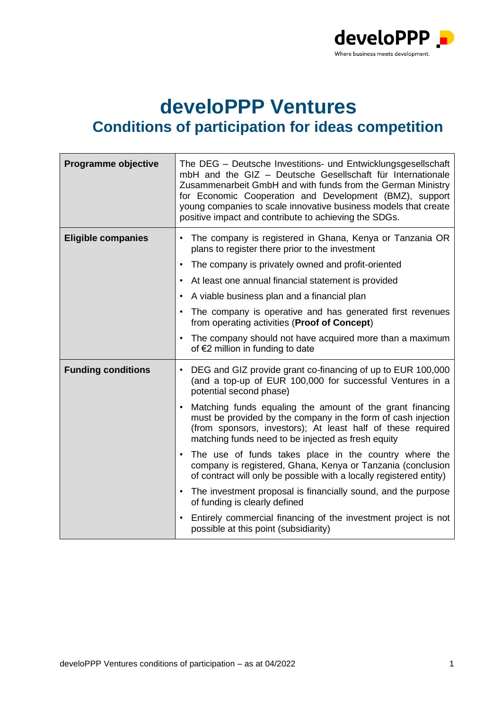

## **develoPPP Ventures Conditions of participation for ideas competition**

| Programme objective       | The DEG - Deutsche Investitions- und Entwicklungsgesellschaft<br>mbH and the GIZ - Deutsche Gesellschaft für Internationale<br>Zusammenarbeit GmbH and with funds from the German Ministry<br>for Economic Cooperation and Development (BMZ), support<br>young companies to scale innovative business models that create<br>positive impact and contribute to achieving the SDGs. |
|---------------------------|-----------------------------------------------------------------------------------------------------------------------------------------------------------------------------------------------------------------------------------------------------------------------------------------------------------------------------------------------------------------------------------|
| <b>Eligible companies</b> | The company is registered in Ghana, Kenya or Tanzania OR<br>$\bullet$<br>plans to register there prior to the investment<br>The company is privately owned and profit-oriented<br>$\bullet$<br>At least one annual financial statement is provided                                                                                                                                |
|                           | A viable business plan and a financial plan                                                                                                                                                                                                                                                                                                                                       |
|                           | The company is operative and has generated first revenues<br>from operating activities (Proof of Concept)                                                                                                                                                                                                                                                                         |
|                           | The company should not have acquired more than a maximum<br>$\bullet$<br>of €2 million in funding to date                                                                                                                                                                                                                                                                         |
| <b>Funding conditions</b> | DEG and GIZ provide grant co-financing of up to EUR 100,000<br>$\bullet$<br>(and a top-up of EUR 100,000 for successful Ventures in a<br>potential second phase)                                                                                                                                                                                                                  |
|                           | Matching funds equaling the amount of the grant financing<br>$\bullet$<br>must be provided by the company in the form of cash injection<br>(from sponsors, investors); At least half of these required<br>matching funds need to be injected as fresh equity                                                                                                                      |
|                           | The use of funds takes place in the country where the<br>company is registered, Ghana, Kenya or Tanzania (conclusion<br>of contract will only be possible with a locally registered entity)                                                                                                                                                                                       |
|                           | The investment proposal is financially sound, and the purpose<br>$\bullet$<br>of funding is clearly defined                                                                                                                                                                                                                                                                       |
|                           | Entirely commercial financing of the investment project is not<br>possible at this point (subsidiarity)                                                                                                                                                                                                                                                                           |